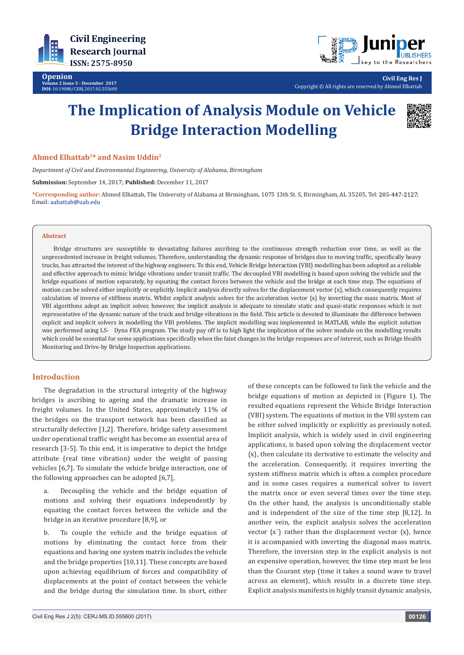



**Civil Eng Res J** Copyright © All rights are reserved by Ahmed Elhattab

# **The Implication of Analysis Module on Vehicle Bridge Interaction Modelling**



## **Ahmed Elhattab1\* and Nasim Uddin2**

*Department of Civil and Environmental Engineering, University of Alabama, Birmingham*

**Submission:** September 14, 2017; **Published:** December 11, 2017

**\*Corresponding author:** Ahmed Elhattab, The University of Alabama at Birmingham, 1075 13th St. S, Birmingham, AL 35205, Tel: ; Email: aahattab@uab.edu

#### **Abstract**

Bridge structures are susceptible to devastating failures ascribing to the continuous strength reduction over time, as well as the unprecedented increase in freight volumes. Therefore, understanding the dynamic response of bridges due to moving traffic, specifically heavy trucks, has attracted the interest of the highway engineers. To this end, Vehicle Bridge Interaction (VBI) modelling has been adopted as a reliable and effective approach to mimic bridge vibrations under transit traffic. The decoupled VBI modelling is based upon solving the vehicle and the bridge equations of motion separately, by equating the contact forces between the vehicle and the bridge at each time step. The equations of motion can be solved either implicitly or explicitly. Implicit analysis directly solves for the displacement vector  $\{x\}$ , which consequently requires calculation of inverse of stiffness matrix. Whilst explicit analysis solves for the acceleration vector  $\{x\}$  by inverting the mass matrix. Most of VBI algorithms adopt an implicit solver, however, the implicit analysis is adequate to simulate static and quasi-static responses which is not representative of the dynamic nature of the truck and bridge vibrations in the field. This article is devoted to illuminate the difference between explicit and implicit solvers in modelling the VBI problems. The implicit modelling was implemented in MATLAB, while the explicit solution was performed using LS- Dyna FEA program. The study pay off is to high light the implication of the solver module on the modelling results which could be essential for some applications specifically when the faint changes in the bridge responses are of interest, such as Bridge Health Monitoring and Drive-by Bridge Inspection applications.

## **Introduction**

The degradation in the structural integrity of the highway bridges is ascribing to ageing and the dramatic increase in freight volumes. In the United States, approximately 11% of the bridges on the transport network has been classified as structurally defective [1,2]. Therefore, bridge safety assessment under operational traffic weight has become an essential area of research [3-5]. To this end, it is imperative to depict the bridge attribute (real time vibration) under the weight of passing vehicles [6,7]. To simulate the vehicle bridge interaction, one of the following approaches can be adopted [6,7],

a. Decoupling the vehicle and the bridge equation of motions and solving their equations independently by equating the contact forces between the vehicle and the bridge in an iterative procedure [8,9], or

b. To couple the vehicle and the bridge equation of motions by eliminating the contact force from their equations and having one system matrix includes the vehicle and the bridge properties [10,11]. These concepts are based upon achieving equilibrium of forces and compatibility of displacements at the point of contact between the vehicle and the bridge during the simulation time. In short, either

of these concepts can be followed to link the vehicle and the bridge equations of motion as depicted in (Figure 1). The resulted equations represent the Vehicle Bridge Interaction (VBI) system. The equations of motion in the VBI system can be either solved implicitly or explicitly as previously noted. Implicit analysis, which is widely used in civil engineering applications, is based upon solving the displacement vector {x}, then calculate its derivative to estimate the velocity and the acceleration. Consequently, it requires inverting the system stiffness matrix which is often a complex procedure and in some cases requires a numerical solver to invert the matrix once or even several times over the time step. On the other hand, the analysis is unconditionally stable and is independent of the size of the time step [8,12]. In another vein, the explicit analysis solves the acceleration vector  $\{x\}$  rather than the displacement vector  $\{x\}$ , hence it is accompanied with inverting the diagonal mass matrix. Therefore, the inversion step in the explicit analysis is not an expensive operation, however, the time step must be less than the Courant step (time it takes a sound wave to travel across an element), which results in a discrete time step. Explicit analysis manifests in highly transit dynamic analysis,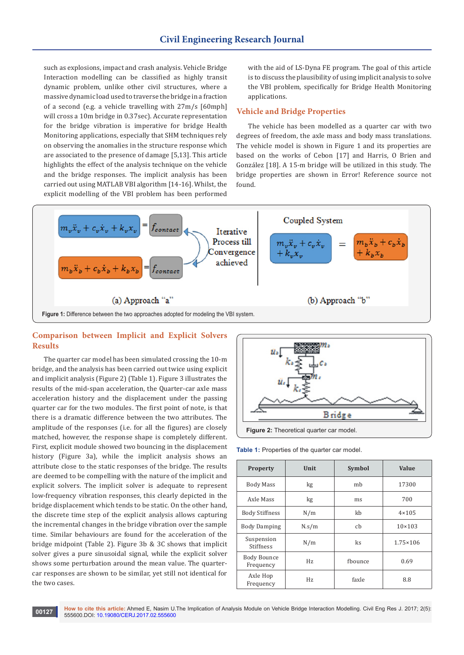such as explosions, impact and crash analysis. Vehicle Bridge Interaction modelling can be classified as highly transit dynamic problem, unlike other civil structures, where a massive dynamic load used to traverse the bridge in a fraction of a second (e.g. a vehicle travelling with 27m/s [60mph] will cross a 10m bridge in 0.37sec). Accurate representation for the bridge vibration is imperative for bridge Health Monitoring applications, especially that SHM techniques rely on observing the anomalies in the structure response which are associated to the presence of damage [5,13]. This article highlights the effect of the analysis technique on the vehicle and the bridge responses. The implicit analysis has been carried out using MATLAB VBI algorithm [14-16]. Whilst, the explicit modelling of the VBI problem has been performed

with the aid of LS-Dyna FE program. The goal of this article is to discuss the plausibility of using implicit analysis to solve the VBI problem, specifically for Bridge Health Monitoring applications.

## **Vehicle and Bridge Properties**

The vehicle has been modelled as a quarter car with two degrees of freedom, the axle mass and body mass translations. The vehicle model is shown in Figure 1 and its properties are based on the works of Cebon [17] and Harris, O Brien and González [18]. A 15-m bridge will be utilized in this study. The bridge properties are shown in Error! Reference source not found.



# **Comparison between Implicit and Explicit Solvers Results**

The quarter car model has been simulated crossing the 10-m bridge, and the analysis has been carried out twice using explicit and implicit analysis (Figure 2) (Table 1). Figure 3 illustrates the results of the mid-span acceleration, the Quarter-car axle mass acceleration history and the displacement under the passing quarter car for the two modules. The first point of note, is that there is a dramatic difference between the two attributes. The amplitude of the responses (i.e. for all the figures) are closely matched, however, the response shape is completely different. First, explicit module showed two bouncing in the displacement history (Figure 3a), while the implicit analysis shows an attribute close to the static responses of the bridge. The results are deemed to be compelling with the nature of the implicit and explicit solvers. The implicit solver is adequate to represent low-frequency vibration responses, this clearly depicted in the bridge displacement which tends to be static. On the other hand, the discrete time step of the explicit analysis allows capturing the incremental changes in the bridge vibration over the sample time. Similar behaviours are found for the acceleration of the bridge midpoint (Table 2). Figure 3b & 3C shows that implicit solver gives a pure sinusoidal signal, while the explicit solver shows some perturbation around the mean value. The quartercar responses are shown to be similar, yet still not identical for the two cases.



**Table 1:** Properties of the quarter car model.

| <b>Property</b>                 | Unit  | <b>Symbol</b> | Value             |
|---------------------------------|-------|---------------|-------------------|
| Body Mass                       | kg    | mh            | 17300             |
| Axle Mass                       | kg    | ms            | 700               |
| <b>Body Stiffness</b>           | N/m   | kh            | $4 \times 105$    |
| <b>Body Damping</b>             | N.s/m | cb            | $10 \times 103$   |
| Suspension<br><b>Stiffness</b>  | N/m   | ks            | $1.75 \times 106$ |
| <b>Body Bounce</b><br>Frequency | Hz.   | fhounce       | 0.69              |
| Axle Hop<br>Frequency           | Hz.   | faxle         | 8.8               |

**How to cite this article:** Ahmed E, Nasim U.The Implication of Analysis Module on Vehicle Bridge Interaction Modelling. Civil Eng Res J. 2017; 2(5): 555600.DOI: [10.19080/CERJ.2017.02.555600](http://dx.doi.org/10.19080/CERJ.2017.02.555600) **<sup>00127</sup>**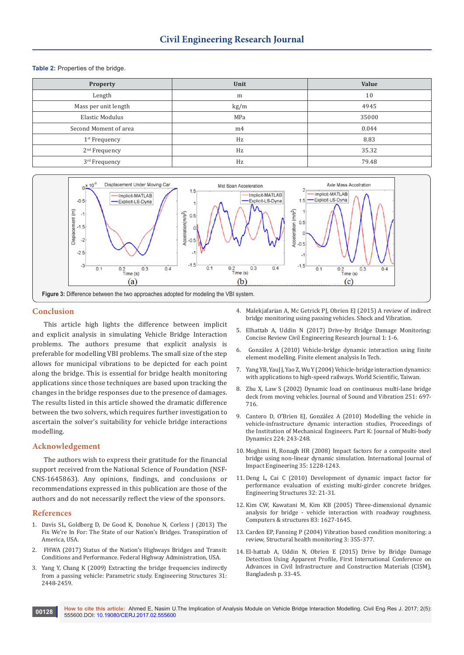#### **Table 2:** Properties of the bridge.

| <b>Property</b>           | Unit           | Value |
|---------------------------|----------------|-------|
| Length                    | m              | 10    |
| Mass per unit length      | kg/m           | 4945  |
| Elastic Modulus           | MPa            | 35000 |
| Second Moment of area     | m <sub>4</sub> | 0.044 |
| $1st$ Frequency           | Hz             | 8.83  |
| 2 <sup>nd</sup> Frequency | Hz             | 35.32 |
| 3rd Frequency             | Hz             | 79.48 |



#### **Conclusion**

This article high lights the difference between implicit and explicit analysis in simulating Vehicle Bridge Interaction problems. The authors presume that explicit analysis is preferable for modelling VBI problems. The small size of the step allows for municipal vibrations to be depicted for each point along the bridge. This is essential for bridge health monitoring applications since those techniques are based upon tracking the changes in the bridge responses due to the presence of damages. The results listed in this article showed the dramatic difference between the two solvers, which requires further investigation to ascertain the solver's suitability for vehicle bridge interactions modelling.

## **Acknowledgement**

The authors wish to express their gratitude for the financial support received from the National Science of Foundation (NSF-CNS-1645863). Any opinions, findings, and conclusions or recommendations expressed in this publication are those of the authors and do not necessarily reflect the view of the sponsors.

## **References**

- 1. [Davis SL, Goldberg D, De Good K, Donohue N, Corless J \(2013\) The](http://t4america.org/docs/bridgereport2013/2013BridgeReport.pdf)  [Fix We're In For: The State of our Nation's Bridges. Transpiration of](http://t4america.org/docs/bridgereport2013/2013BridgeReport.pdf)  [America, USA.](http://t4america.org/docs/bridgereport2013/2013BridgeReport.pdf)
- 2. [FHWA \(2017\) Status of the Nation's Highways Bridges and Transit:](https://www.fhwa.dot.gov/policy/2015cpr/)  [Conditions and Performance. Federal Highway Administration, USA.](https://www.fhwa.dot.gov/policy/2015cpr/)
- 3. Yang Y, Chang K (2009) Extracting the bridge frequencies indirectly from a passing vehicle: Parametric study. Engineering Structures 31: 2448-2459.
- 4. Malekiafarian A, Mc Getrick PI, Obrien EI (2015) A review of indirect [bridge monitoring using passing vehicles. Shock and Vibration.](https://www.hindawi.com/journals/sv/2015/286139/)
- 5. Elhattab A, Uddin N (2017) Drive-by Bridge Damage Monitoring: Concise Review Civil Engineering Research Journal 1: 1-6.
- 6. [González A \(2010\) Vehicle-bridge dynamic interaction using finite](https://www.intechopen.com/books/finite-element-analysis/vehicle-bridge-dynamic-interaction-using-finite-element-modelling)  [element modelling. Finite element analysis In Tech.](https://www.intechopen.com/books/finite-element-analysis/vehicle-bridge-dynamic-interaction-using-finite-element-modelling)
- 7. [Yang YB, YauJ J, Yao Z, Wu Y \(2004\) Vehicle-bridge interaction dynamics:](http://www.worldscientific.com/worldscibooks/10.1142/5541)  [with applications to high-speed railways. World Scientific, Taiwan.](http://www.worldscientific.com/worldscibooks/10.1142/5541)
- 8. Zhu X, Law S (2002) Dynamic load on continuous multi-lane bridge deck from moving vehicles. Journal of Sound and Vibration 251: 697- 716.
- 9. [Cantero D, O'Brien EJ, González A \(2010\) Modelling the vehicle in](http://journals.sagepub.com/doi/abs/10.1243/14644193JMBD228?journalCode=pika)  [vehicle-infrastructure dynamic interaction studies, Proceedings of](http://journals.sagepub.com/doi/abs/10.1243/14644193JMBD228?journalCode=pika)  [the Institution of Mechanical Engineers. Part K: Journal of Multi-body](http://journals.sagepub.com/doi/abs/10.1243/14644193JMBD228?journalCode=pika)  [Dynamics 224: 243-248.](http://journals.sagepub.com/doi/abs/10.1243/14644193JMBD228?journalCode=pika)
- 10. [Moghimi H, Ronagh HR \(2008\) Impact factors for a composite steel](https://pdfs.semanticscholar.org/6883/b4e52b3abb8004d2dc4ecabef634b21c3c91.pdf)  [bridge using non-linear dynamic simulation. International Journal of](https://pdfs.semanticscholar.org/6883/b4e52b3abb8004d2dc4ecabef634b21c3c91.pdf)  [Impact Engineering 35: 1228-1243.](https://pdfs.semanticscholar.org/6883/b4e52b3abb8004d2dc4ecabef634b21c3c91.pdf)
- 11. [Deng L, Cai C \(2010\) Development of dynamic impact factor for](https://pdfs.semanticscholar.org/9f82/4241b25f59e9f7c602f21eaa98590bf03ff4.pdf)  [performance evaluation of existing multi-girder concrete bridges.](https://pdfs.semanticscholar.org/9f82/4241b25f59e9f7c602f21eaa98590bf03ff4.pdf)  [Engineering Structures 32: 21-31.](https://pdfs.semanticscholar.org/9f82/4241b25f59e9f7c602f21eaa98590bf03ff4.pdf)
- 12. [Kim CW, Kawatani M, Kim KB \(2005\) Three-dimensional dynamic](https://dl.acm.org/citation.cfm?id=1668651)  [analysis for bridge - vehicle interaction with roadway roughness.](https://dl.acm.org/citation.cfm?id=1668651)  [Computers & structures 83: 1627-1645.](https://dl.acm.org/citation.cfm?id=1668651)
- 13. Carden EP, Fanning P (2004) Vibration based condition monitoring: a review, Structural health monitoring 3: 355-377.
- 14. El-hattab A, Uddin N, Obrien E (2015) Drive by Bridge Damage Detection Using Apparent Profile, First International Conference on Advances in Civil Infrastructure and Construction Materials (CISM), Bangladesh p. 33-45.